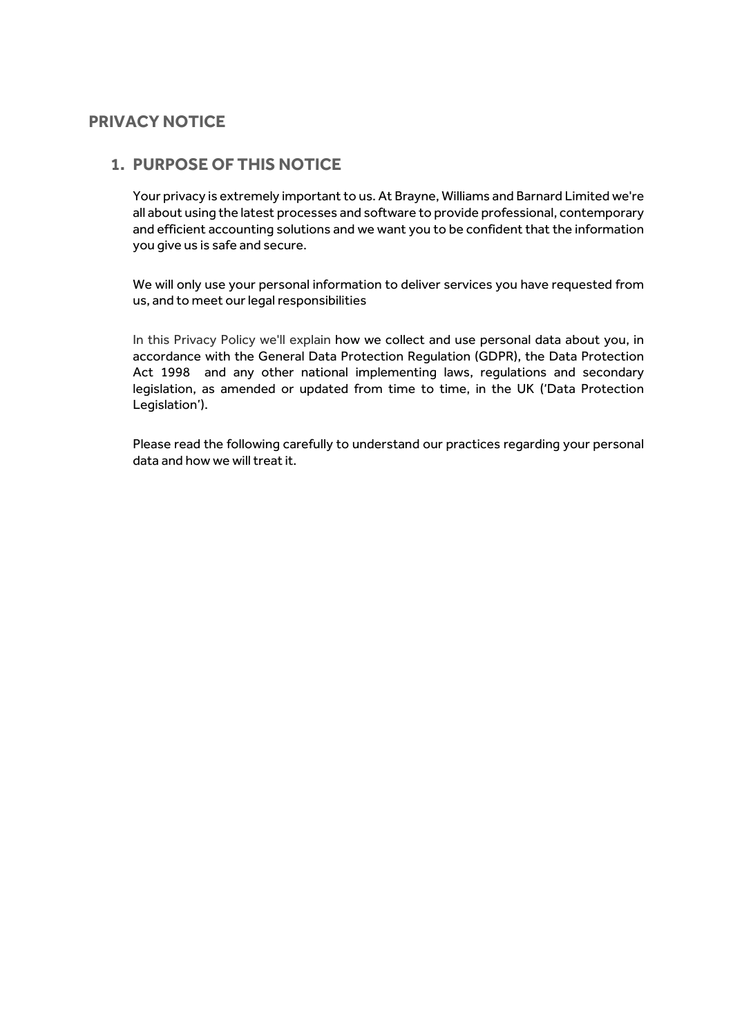## **PRIVACY NOTICE**

### **1. PURPOSE OF THIS NOTICE**

Your privacy is extremely important to us. At Brayne, Williams and Barnard Limited we're all about using the latest processes and software to provide professional, contemporary and efficient accounting solutions and we want you to be confident that the information you give us is safe and secure.

We will only use your personal information to deliver services you have requested from us, and to meet our legal responsibilities

In this Privacy Policy we'll explain how we collect and use personal data about you, in accordance with the General Data Protection Regulation (GDPR), the Data Protection Act 1998 and any other national implementing laws, regulations and secondary legislation, as amended or updated from time to time, in the UK ('Data Protection Legislation').

Please read the following carefully to understand our practices regarding your personal data and how we will treat it.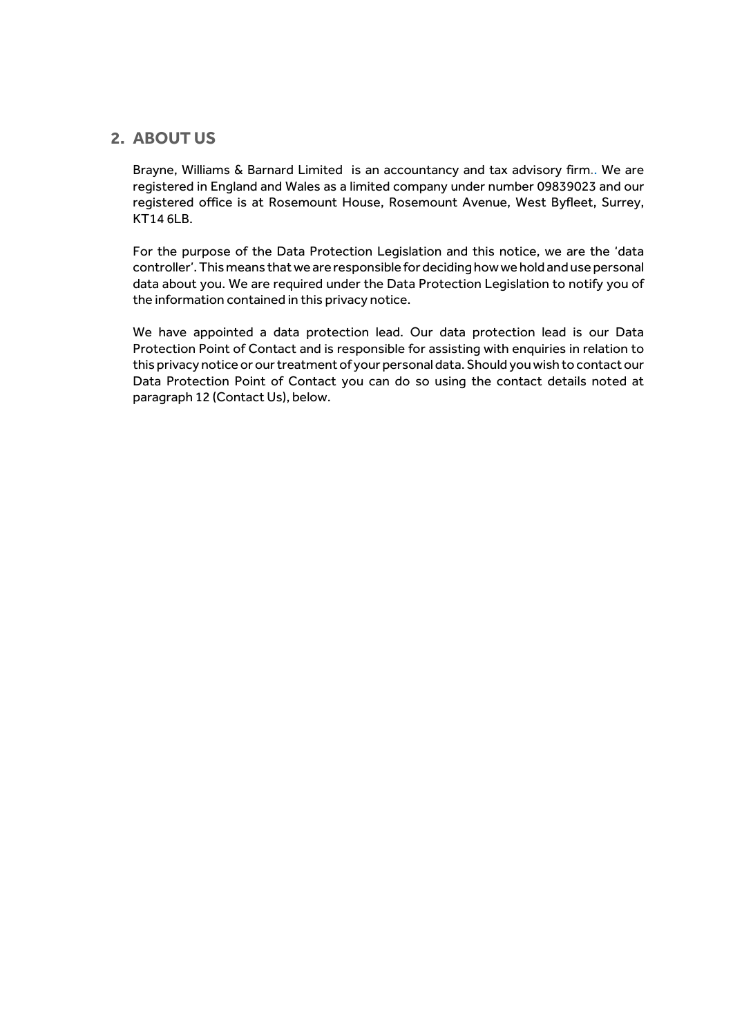### **2. ABOUT US**

Brayne, Williams & Barnard Limited is an accountancy and tax advisory firm.. We are registered in England and Wales as a limited company under number 09839023 and our registered office is at Rosemount House, Rosemount Avenue, West Byfleet, Surrey, KT14 6LB.

For the purpose of the Data Protection Legislation and this notice, we are the 'data controller'. This means that we are responsible for deciding how we hold and use personal data about you. We are required under the Data Protection Legislation to notify you of the information contained in this privacy notice.

We have appointed a data protection lead. Our data protection lead is our Data Protection Point of Contact and is responsible for assisting with enquiries in relation to this privacy notice or our treatment of your personal data. Should you wish to contact our Data Protection Point of Contact you can do so using the contact details noted at paragraph 12 (Contact Us), below.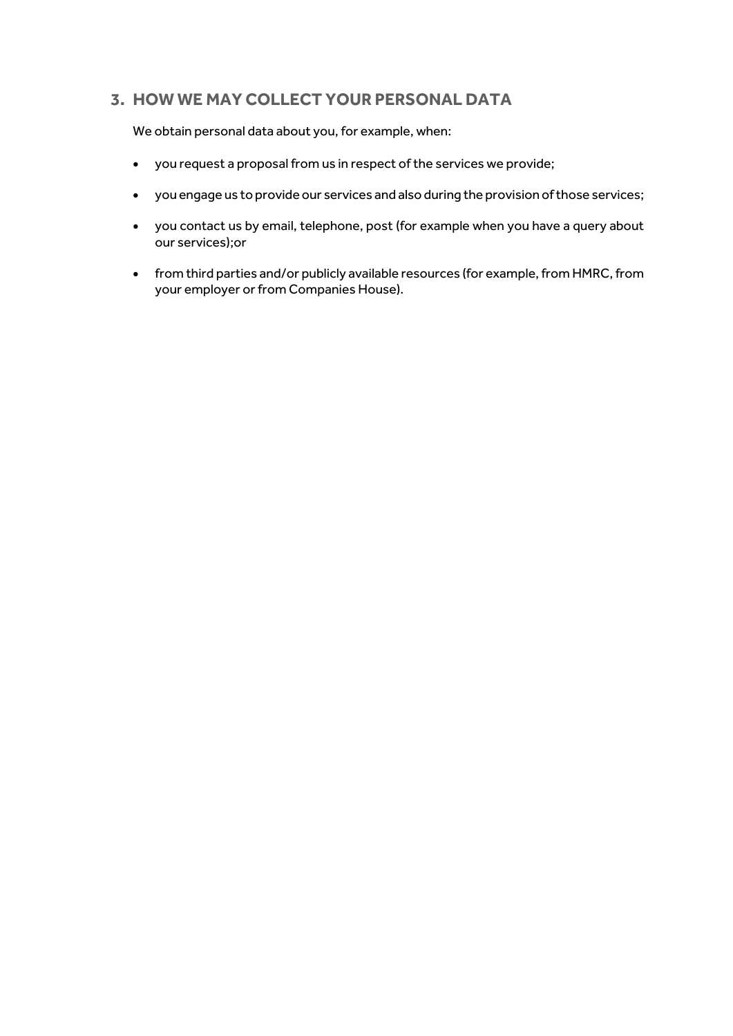# **3. HOW WE MAY COLLECT YOUR PERSONAL DATA**

We obtain personal data about you, for example, when:

- you request a proposal from us in respect of the services we provide;
- you engage us to provide our services and also during the provision of those services;
- you contact us by email, telephone, post (for example when you have a query about our services);or
- from third parties and/or publicly available resources (for example, from HMRC, from your employer or from Companies House).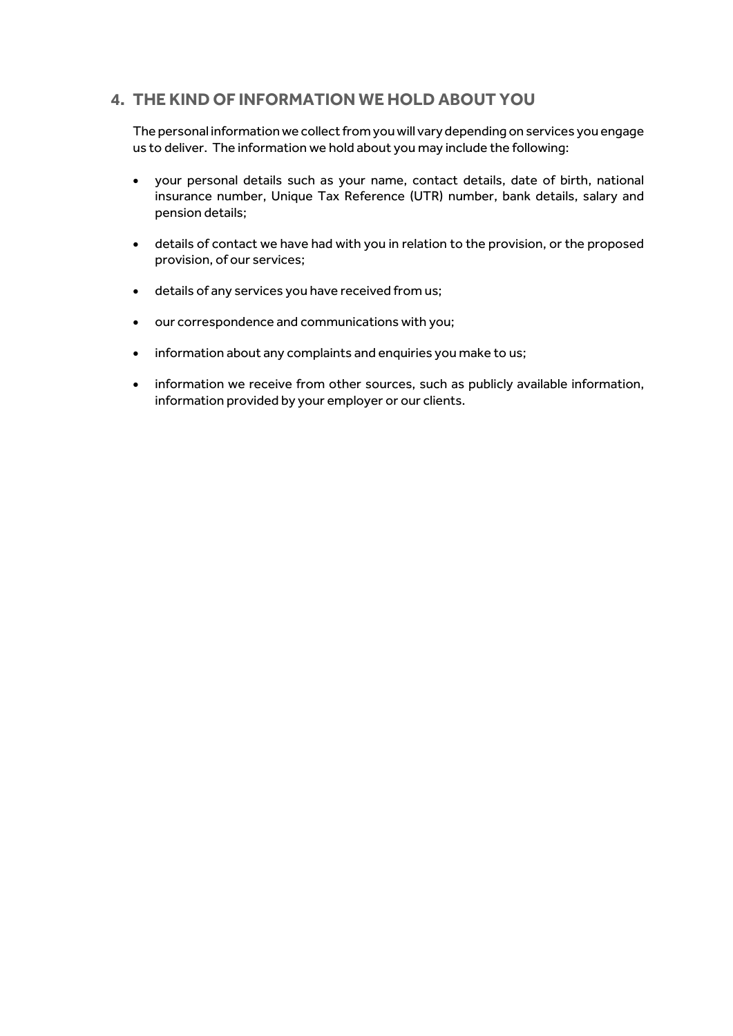## **4. THE KIND OF INFORMATION WE HOLD ABOUT YOU**

The personal information we collect from you will vary depending on services you engage us to deliver. The information we hold about you may include the following:

- your personal details such as your name, contact details, date of birth, national insurance number, Unique Tax Reference (UTR) number, bank details, salary and pension details;
- details of contact we have had with you in relation to the provision, or the proposed provision, of our services;
- details of any services you have received from us;
- our correspondence and communications with you;
- information about any complaints and enquiries you make to us;
- information we receive from other sources, such as publicly available information, information provided by your employer or our clients.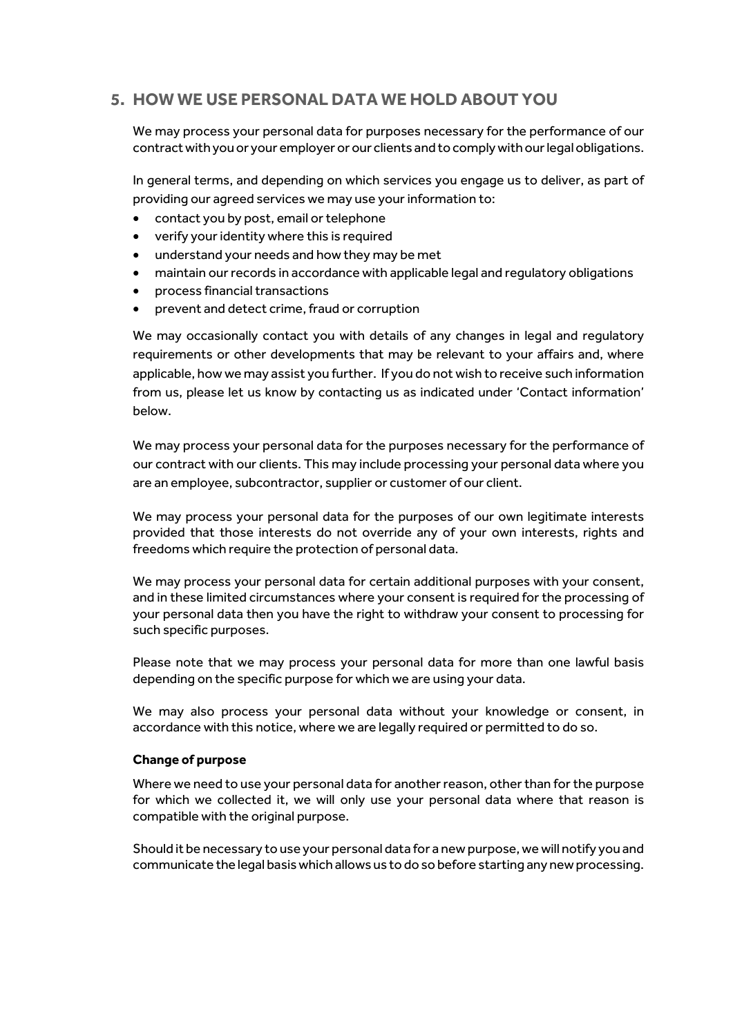# **5. HOW WE USE PERSONAL DATA WE HOLD ABOUT YOU**

We may process your personal data for purposes necessary for the performance of our contract with youor your employer or our clients and to comply with our legal obligations.

In general terms, and depending on which services you engage us to deliver, as part of providing our agreed services we may use your information to:

- contact you by post, email or telephone
- verify your identity where this is required
- understand your needs and how they may be met
- maintain our records in accordance with applicable legal and regulatory obligations
- process financial transactions
- prevent and detect crime, fraud or corruption

We may occasionally contact you with details of any changes in legal and regulatory requirements or other developments that may be relevant to your affairs and, where applicable, how we may assist you further. If you do not wish to receive such information from us, please let us know by contacting us as indicated under 'Contact information' below.

We may process your personal data for the purposes necessary for the performance of our contract with our clients. This may include processing your personal data where you are an employee, subcontractor, supplier or customer of our client.

We may process your personal data for the purposes of our own legitimate interests provided that those interests do not override any of your own interests, rights and freedoms which require the protection of personal data.

We may process your personal data for certain additional purposes with your consent, and in these limited circumstances where your consent is required for the processing of your personal data then you have the right to withdraw your consent to processing for such specific purposes.

Please note that we may process your personal data for more than one lawful basis depending on the specific purpose for which we are using your data.

We may also process your personal data without your knowledge or consent, in accordance with this notice, where we are legally required or permitted to do so.

#### **Change of purpose**

Where we need to use your personal data for another reason, other than for the purpose for which we collected it, we will only use your personal data where that reason is compatible with the original purpose.

Should it be necessary to use your personal data for a new purpose, we will notify you and communicate the legal basis which allows us to do so before starting any new processing.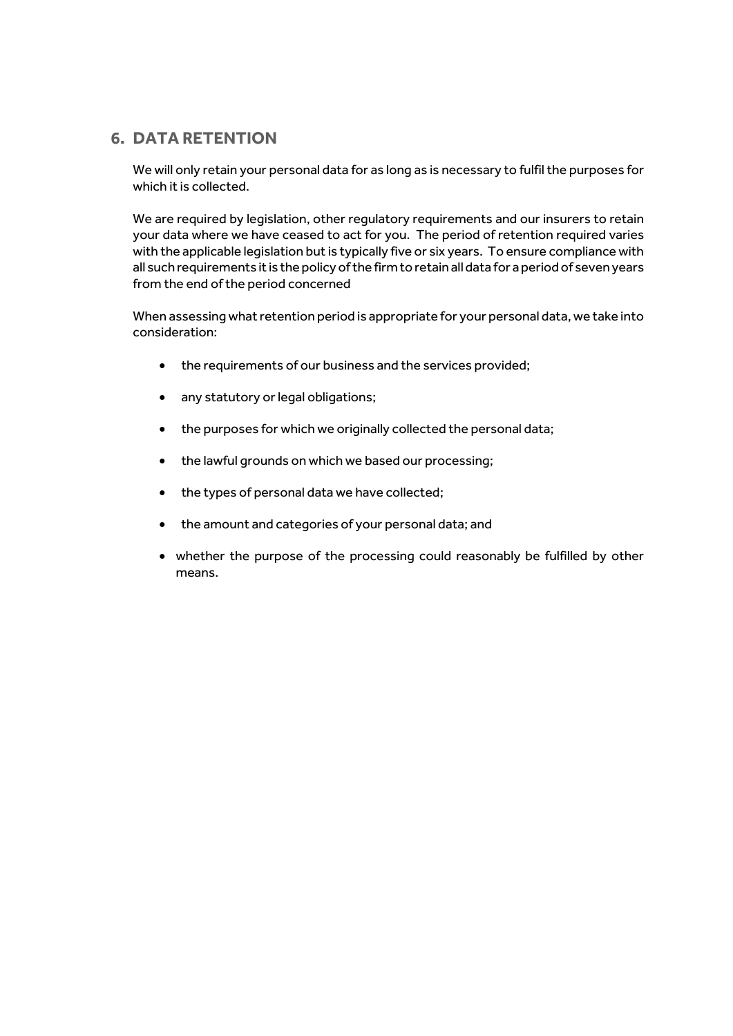### **6. DATA RETENTION**

We will only retain your personal data for as long as is necessary to fulfil the purposes for which it is collected.

We are required by legislation, other regulatory requirements and our insurers to retain your data where we have ceased to act for you. The period of retention required varies with the applicable legislation but is typically five or six years. To ensure compliance with all such requirements it is the policy of the firm to retain all data for a period of seven years from the end of the period concerned

When assessing what retention period is appropriate for your personal data, we take into consideration:

- the requirements of our business and the services provided;
- any statutory or legal obligations;
- the purposes for which we originally collected the personal data;
- the lawful grounds on which we based our processing;
- the types of personal data we have collected;
- the amount and categories of your personal data; and
- whether the purpose of the processing could reasonably be fulfilled by other means.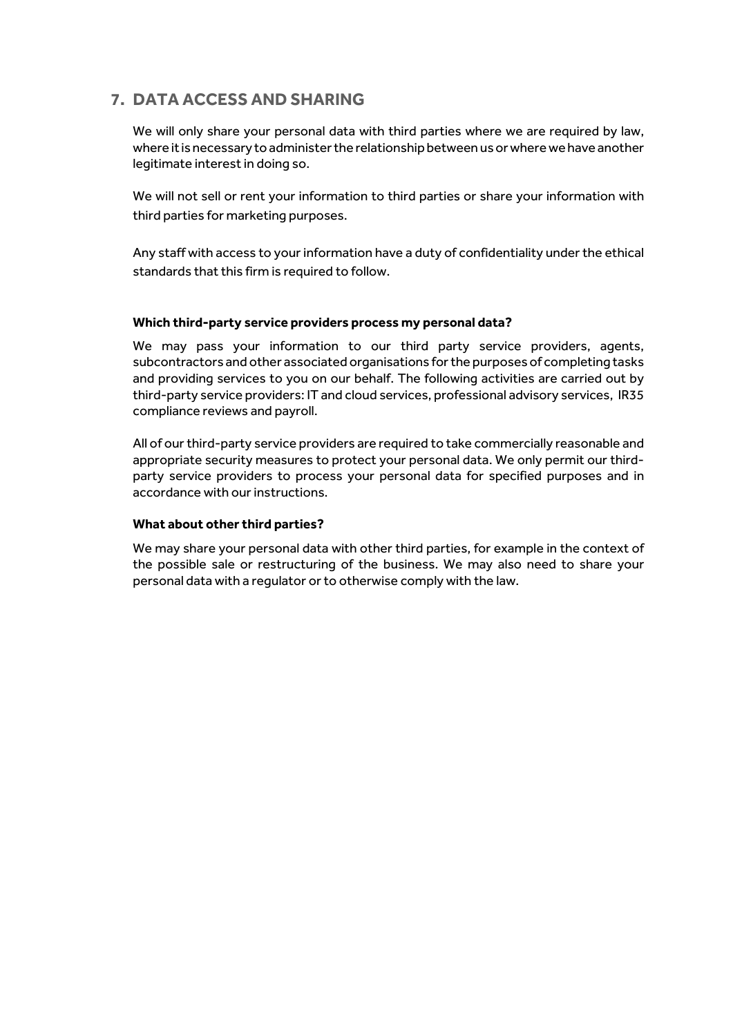# **7. DATA ACCESS AND SHARING**

We will only share your personal data with third parties where we are required by law. where it is necessary to administer the relationship between us or where we have another legitimate interest in doing so.

We will not sell or rent your information to third parties or share your information with third parties for marketing purposes.

Any staff with access to your information have a duty of confidentiality under the ethical standards that this firm is required to follow.

#### **Which third-party service providers process my personal data?**

We may pass your information to our third party service providers, agents, subcontractors and other associated organisations for the purposes of completing tasks and providing services to you on our behalf. The following activities are carried out by third-party service providers: IT and cloud services, professional advisory services, IR35 compliance reviews and payroll.

All of our third-party service providers are required to take commercially reasonable and appropriate security measures to protect your personal data. We only permit our thirdparty service providers to process your personal data for specified purposes and in accordance with our instructions.

#### **What about other third parties?**

We may share your personal data with other third parties, for example in the context of the possible sale or restructuring of the business. We may also need to share your personal data with a regulator or to otherwise comply with the law.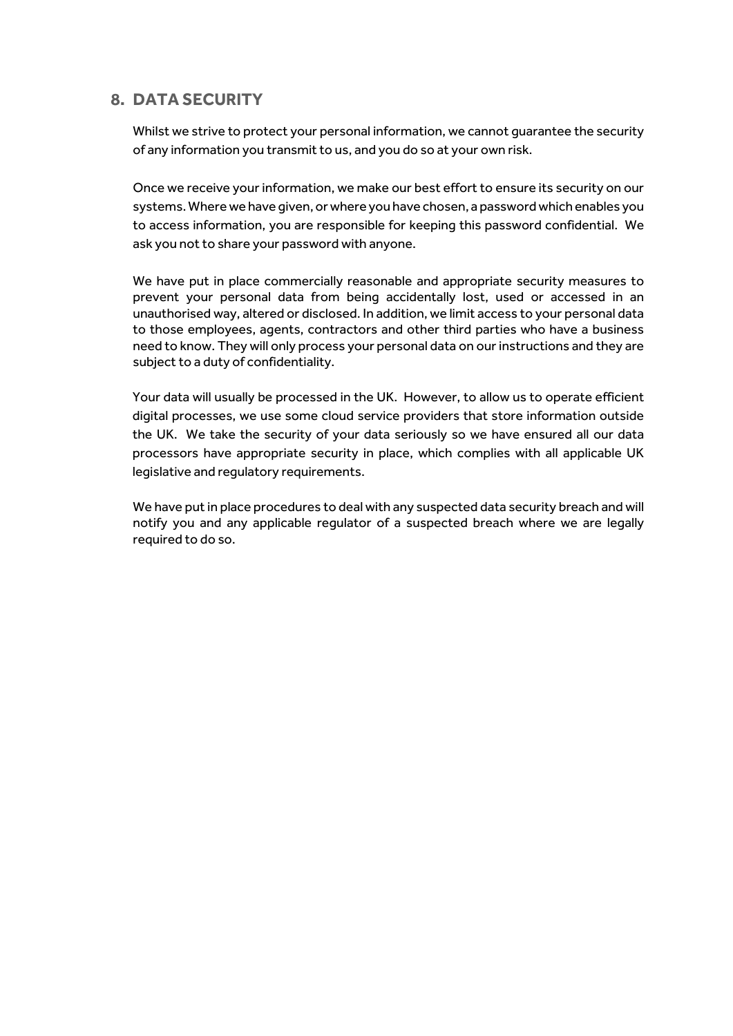## **8. DATA SECURITY**

Whilst we strive to protect your personal information, we cannot guarantee the security of any information you transmit to us, and you do so at your own risk.

Once we receive your information, we make our best effort to ensure its security on our systems. Where we have given, or where you have chosen, a password which enables you to access information, you are responsible for keeping this password confidential. We ask you not to share your password with anyone.

We have put in place commercially reasonable and appropriate security measures to prevent your personal data from being accidentally lost, used or accessed in an unauthorised way, altered or disclosed. In addition, we limit access to your personal data to those employees, agents, contractors and other third parties who have a business need to know. They will only process your personal data on our instructions and they are subject to a duty of confidentiality.

Your data will usually be processed in the UK. However, to allow us to operate efficient digital processes, we use some cloud service providers that store information outside the UK. We take the security of your data seriously so we have ensured all our data processors have appropriate security in place, which complies with all applicable UK legislative and regulatory requirements.

We have put in place procedures to deal with any suspected data security breach and will notify you and any applicable regulator of a suspected breach where we are legally required to do so.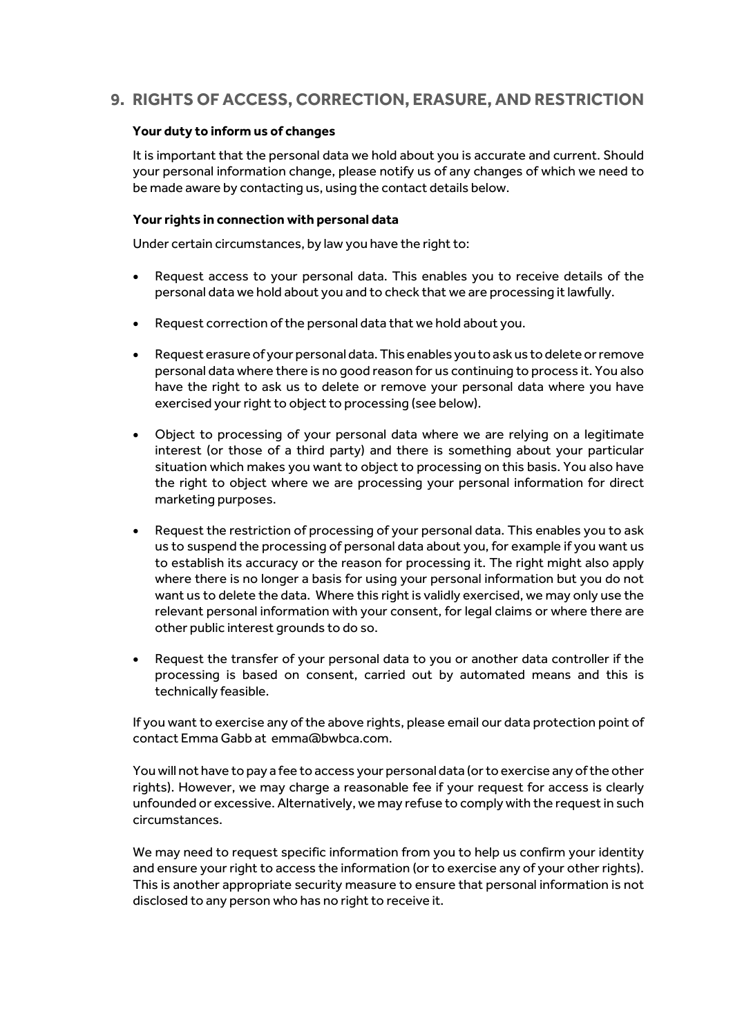# **9. RIGHTS OF ACCESS, CORRECTION, ERASURE, AND RESTRICTION**

#### **Your duty to inform us of changes**

It is important that the personal data we hold about you is accurate and current. Should your personal information change, please notify us of any changes of which we need to be made aware by contacting us, using the contact details below.

#### **Your rights in connection with personal data**

Under certain circumstances, by law you have the right to:

- Request access to your personal data. This enables you to receive details of the personal data we hold about you and to check that we are processing it lawfully.
- Request correction of the personal data that we hold about you.
- Request erasure of your personal data. This enables you to ask us to delete or remove personal data where there is no good reason for us continuing to process it. You also have the right to ask us to delete or remove your personal data where you have exercised your right to object to processing (see below).
- Object to processing of your personal data where we are relying on a legitimate interest (or those of a third party) and there is something about your particular situation which makes you want to object to processing on this basis. You also have the right to object where we are processing your personal information for direct marketing purposes.
- Request the restriction of processing of your personal data. This enables you to ask us to suspend the processing of personal data about you, for example if you want us to establish its accuracy or the reason for processing it. The right might also apply where there is no longer a basis for using your personal information but you do not want us to delete the data. Where this right is validly exercised, we may only use the relevant personal information with your consent, for legal claims or where there are other public interest grounds to do so.
- Request the transfer of your personal data to you or another data controller if the processing is based on consent, carried out by automated means and this is technically feasible.

If you want to exercise any of the above rights, please email our data protection point of contact Emma Gabb at emma@bwbca.com.

You will not have to pay a fee to access your personal data (or to exercise any of the other rights). However, we may charge a reasonable fee if your request for access is clearly unfounded or excessive. Alternatively, we may refuse to comply with the request in such circumstances.

We may need to request specific information from you to help us confirm your identity and ensure your right to access the information (or to exercise any of your other rights). This is another appropriate security measure to ensure that personal information is not disclosed to any person who has no right to receive it.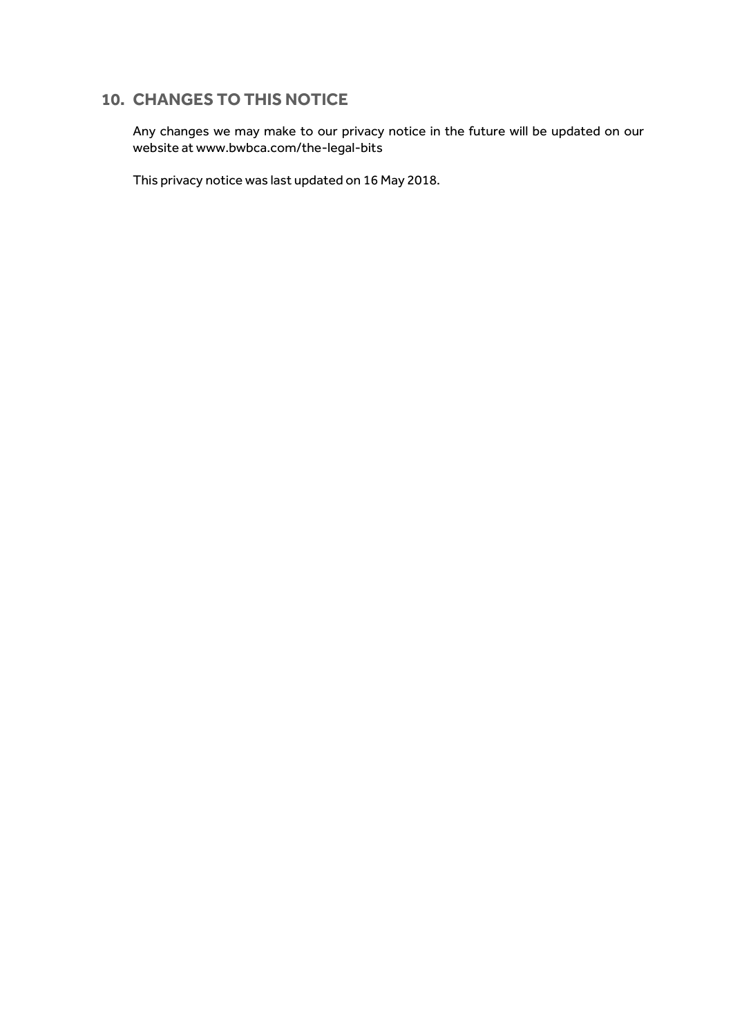## **10. CHANGES TO THIS NOTICE**

Any changes we may make to our privacy notice in the future will be updated on our website at [www.bwbca.com/the-legal-bits](http://www.bwbca.com/the-legal-bits)

This privacy notice was last updated on 16 May 2018.